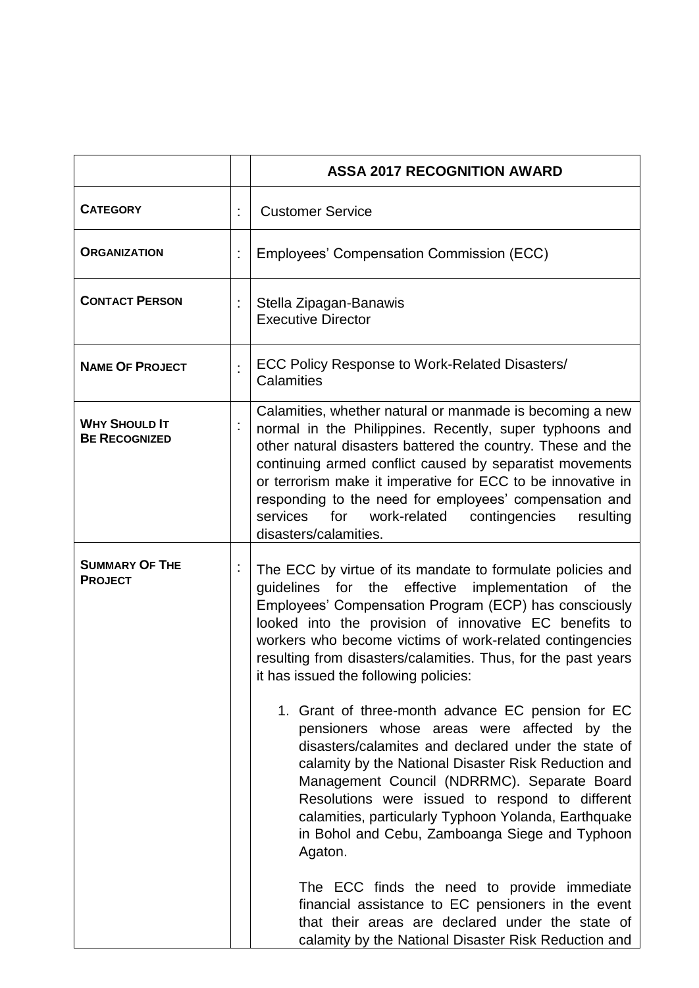|                                              |    | <b>ASSA 2017 RECOGNITION AWARD</b>                                                                                                                                                                                                                                                                                                                                                                                                                                                                                                                                                                                                                                                                                                                                                                                                                                                                                                                                                                                                                                         |
|----------------------------------------------|----|----------------------------------------------------------------------------------------------------------------------------------------------------------------------------------------------------------------------------------------------------------------------------------------------------------------------------------------------------------------------------------------------------------------------------------------------------------------------------------------------------------------------------------------------------------------------------------------------------------------------------------------------------------------------------------------------------------------------------------------------------------------------------------------------------------------------------------------------------------------------------------------------------------------------------------------------------------------------------------------------------------------------------------------------------------------------------|
| <b>CATEGORY</b>                              | t, | <b>Customer Service</b>                                                                                                                                                                                                                                                                                                                                                                                                                                                                                                                                                                                                                                                                                                                                                                                                                                                                                                                                                                                                                                                    |
| <b>ORGANIZATION</b>                          | t, | Employees' Compensation Commission (ECC)                                                                                                                                                                                                                                                                                                                                                                                                                                                                                                                                                                                                                                                                                                                                                                                                                                                                                                                                                                                                                                   |
| <b>CONTACT PERSON</b>                        | ÷  | Stella Zipagan-Banawis<br><b>Executive Director</b>                                                                                                                                                                                                                                                                                                                                                                                                                                                                                                                                                                                                                                                                                                                                                                                                                                                                                                                                                                                                                        |
| <b>NAME OF PROJECT</b>                       | ÷  | ECC Policy Response to Work-Related Disasters/<br>Calamities                                                                                                                                                                                                                                                                                                                                                                                                                                                                                                                                                                                                                                                                                                                                                                                                                                                                                                                                                                                                               |
| <b>WHY SHOULD IT</b><br><b>BE RECOGNIZED</b> |    | Calamities, whether natural or manmade is becoming a new<br>normal in the Philippines. Recently, super typhoons and<br>other natural disasters battered the country. These and the<br>continuing armed conflict caused by separatist movements<br>or terrorism make it imperative for ECC to be innovative in<br>responding to the need for employees' compensation and<br>services for work-related<br>contingencies<br>resulting<br>disasters/calamities.                                                                                                                                                                                                                                                                                                                                                                                                                                                                                                                                                                                                                |
| <b>SUMMARY OF THE</b><br><b>PROJECT</b>      |    | The ECC by virtue of its mandate to formulate policies and<br>guidelines for the effective implementation<br>the<br>0f<br>Employees' Compensation Program (ECP) has consciously<br>looked into the provision of innovative EC benefits to<br>workers who become victims of work-related contingencies<br>resulting from disasters/calamities. Thus, for the past years<br>it has issued the following policies:<br>1. Grant of three-month advance EC pension for EC<br>pensioners whose areas were affected by the<br>disasters/calamites and declared under the state of<br>calamity by the National Disaster Risk Reduction and<br>Management Council (NDRRMC). Separate Board<br>Resolutions were issued to respond to different<br>calamities, particularly Typhoon Yolanda, Earthquake<br>in Bohol and Cebu, Zamboanga Siege and Typhoon<br>Agaton.<br>The ECC finds the need to provide immediate<br>financial assistance to EC pensioners in the event<br>that their areas are declared under the state of<br>calamity by the National Disaster Risk Reduction and |